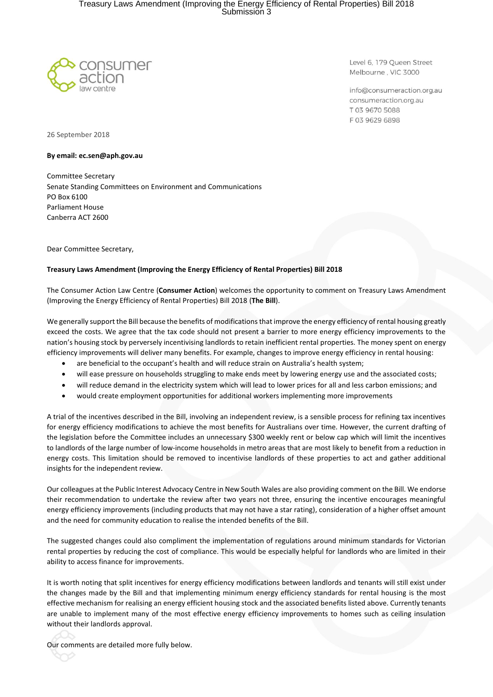

Level 6, 179 Queen Street Melbourne, VIC 3000

info@consumeraction.org.au consumeraction.org.au T 03 9670 5088 F0396296898

26 September 2018

#### **By email: ec.sen@aph.gov.au**

Committee Secretary Senate Standing Committees on Environment and Communications PO Box 6100 Parliament House Canberra ACT 2600

Dear Committee Secretary,

### **Treasury Laws Amendment (Improving the Energy Efficiency of Rental Properties) Bill 2018**

The Consumer Action Law Centre (**Consumer Action**) welcomes the opportunity to comment on Treasury Laws Amendment (Improving the Energy Efficiency of Rental Properties) Bill 2018 (**The Bill**).

We generally support the Bill because the benefits of modifications that improve the energy efficiency of rental housing greatly exceed the costs. We agree that the tax code should not present a barrier to more energy efficiency improvements to the nation's housing stock by perversely incentivising landlords to retain inefficient rental properties. The money spent on energy efficiency improvements will deliver many benefits. For example, changes to improve energy efficiency in rental housing:

- are beneficial to the occupant's health and will reduce strain on Australia's health system;
- will ease pressure on households struggling to make ends meet by lowering energy use and the associated costs;
- will reduce demand in the electricity system which will lead to lower prices for all and less carbon emissions; and
- would create employment opportunities for additional workers implementing more improvements

A trial of the incentives described in the Bill, involving an independent review, is a sensible process for refining tax incentives for energy efficiency modifications to achieve the most benefits for Australians over time. However, the current drafting of the legislation before the Committee includes an unnecessary \$300 weekly rent or below cap which will limit the incentives to landlords of the large number of low-income households in metro areas that are most likely to benefit from a reduction in energy costs. This limitation should be removed to incentivise landlords of these properties to act and gather additional insights for the independent review.

Our colleagues at the Public Interest Advocacy Centre in New South Wales are also providing comment on the Bill. We endorse their recommendation to undertake the review after two years not three, ensuring the incentive encourages meaningful energy efficiency improvements (including products that may not have a star rating), consideration of a higher offset amount and the need for community education to realise the intended benefits of the Bill.

The suggested changes could also compliment the implementation of regulations around minimum standards for Victorian rental properties by reducing the cost of compliance. This would be especially helpful for landlords who are limited in their ability to access finance for improvements.

It is worth noting that split incentives for energy efficiency modifications between landlords and tenants will still exist under the changes made by the Bill and that implementing minimum energy efficiency standards for rental housing is the most effective mechanism for realising an energy efficient housing stock and the associated benefits listed above. Currently tenants are unable to implement many of the most effective energy efficiency improvements to homes such as ceiling insulation without their landlords approval.

Our comments are detailed more fully below.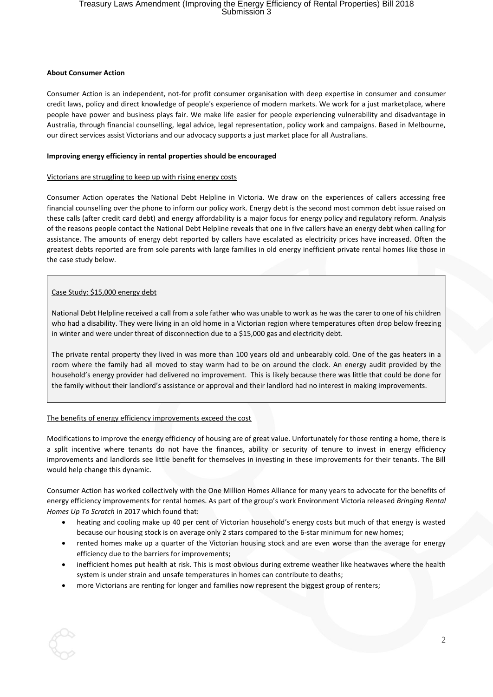#### **About Consumer Action**

Consumer Action is an independent, not-for profit consumer organisation with deep expertise in consumer and consumer credit laws, policy and direct knowledge of people's experience of modern markets. We work for a just marketplace, where people have power and business plays fair. We make life easier for people experiencing vulnerability and disadvantage in Australia, through financial counselling, legal advice, legal representation, policy work and campaigns. Based in Melbourne, our direct services assist Victorians and our advocacy supports a just market place for all Australians.

### **Improving energy efficiency in rental properties should be encouraged**

### Victorians are struggling to keep up with rising energy costs

Consumer Action operates the National Debt Helpline in Victoria. We draw on the experiences of callers accessing free financial counselling over the phone to inform our policy work. Energy debt is the second most common debt issue raised on these calls (after credit card debt) and energy affordability is a major focus for energy policy and regulatory reform. Analysis of the reasons people contact the National Debt Helpline reveals that one in five callers have an energy debt when calling for assistance. The amounts of energy debt reported by callers have escalated as electricity prices have increased. Often the greatest debts reported are from sole parents with large families in old energy inefficient private rental homes like those in the case study below.

### Case Study: \$15,000 energy debt

National Debt Helpline received a call from a sole father who was unable to work as he was the carer to one of his children who had a disability. They were living in an old home in a Victorian region where temperatures often drop below freezing in winter and were under threat of disconnection due to a \$15,000 gas and electricity debt.

The private rental property they lived in was more than 100 years old and unbearably cold. One of the gas heaters in a room where the family had all moved to stay warm had to be on around the clock. An energy audit provided by the household's energy provider had delivered no improvement. This is likely because there was little that could be done for the family without their landlord's assistance or approval and their landlord had no interest in making improvements.

### The benefits of energy efficiency improvements exceed the cost

Modifications to improve the energy efficiency of housing are of great value. Unfortunately for those renting a home, there is a split incentive where tenants do not have the finances, ability or security of tenure to invest in energy efficiency improvements and landlords see little benefit for themselves in investing in these improvements for their tenants. The Bill would help change this dynamic.

Consumer Action has worked collectively with the One Million Homes Alliance for many years to advocate for the benefits of energy efficiency improvements for rental homes. As part of the group's work Environment Victoria released *Bringing Rental Homes Up To Scratch* in 2017 which found that:

- heating and cooling make up 40 per cent of Victorian household's energy costs but much of that energy is wasted because our housing stock is on average only 2 stars compared to the 6-star minimum for new homes;
- rented homes make up a quarter of the Victorian housing stock and are even worse than the average for energy efficiency due to the barriers for improvements;
- inefficient homes put health at risk. This is most obvious during extreme weather like heatwaves where the health system is under strain and unsafe temperatures in homes can contribute to deaths;
- more Victorians are renting for longer and families now represent the biggest group of renters;

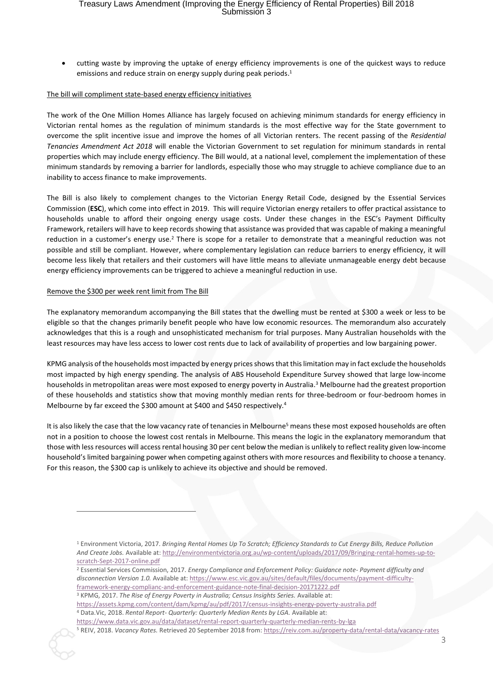# Treasury Laws Amendment (Improving the Energy Efficiency of Rental Properties) Bill 2018<br>Submission 3

• cutting waste by improving the uptake of energy efficiency improvements is one of the quickest ways to reduce emissions and reduce strain on energy supply during peak periods. 1

#### The bill will compliment state-based energy efficiency initiatives

The work of the One Million Homes Alliance has largely focused on achieving minimum standards for energy efficiency in Victorian rental homes as the regulation of minimum standards is the most effective way for the State government to overcome the split incentive issue and improve the homes of all Victorian renters. The recent passing of the *Residential Tenancies Amendment Act 2018* will enable the Victorian Government to set regulation for minimum standards in rental properties which may include energy efficiency. The Bill would, at a national level, complement the implementation of these minimum standards by removing a barrier for landlords, especially those who may struggle to achieve compliance due to an inability to access finance to make improvements.

The Bill is also likely to complement changes to the Victorian Energy Retail Code, designed by the Essential Services Commission (**ESC**), which come into effect in 2019. This will require Victorian energy retailers to offer practical assistance to households unable to afford their ongoing energy usage costs. Under these changes in the ESC's Payment Difficulty Framework, retailers will have to keep records showing that assistance was provided that was capable of making a meaningful reduction in a customer's energy use.<sup>2</sup> There is scope for a retailer to demonstrate that a meaningful reduction was not possible and still be compliant. However, where complementary legislation can reduce barriers to energy efficiency, it will become less likely that retailers and their customers will have little means to alleviate unmanageable energy debt because energy efficiency improvements can be triggered to achieve a meaningful reduction in use.

#### Remove the \$300 per week rent limit from The Bill

1

The explanatory memorandum accompanying the Bill states that the dwelling must be rented at \$300 a week or less to be eligible so that the changes primarily benefit people who have low economic resources. The memorandum also accurately acknowledges that this is a rough and unsophisticated mechanism for trial purposes. Many Australian households with the least resources may have less access to lower cost rents due to lack of availability of properties and low bargaining power.

KPMG analysis of the households most impacted by energy prices shows that this limitation may in fact exclude the households most impacted by high energy spending. The analysis of ABS Household Expenditure Survey showed that large low-income households in metropolitan areas were most exposed to energy poverty in Australia. <sup>3</sup> Melbourne had the greatest proportion of these households and statistics show that moving monthly median rents for three-bedroom or four-bedroom homes in Melbourne by far exceed the \$300 amount at \$400 and \$450 respectively. 4

It is also likely the case that the low vacancy rate of tenancies in Melbourne<sup>5</sup> means these most exposed households are often not in a position to choose the lowest cost rentals in Melbourne. This means the logic in the explanatory memorandum that those with less resources will access rental housing 30 per cent below the median is unlikely to reflect reality given low-income household's limited bargaining power when competing against others with more resources and flexibility to choose a tenancy. For this reason, the \$300 cap is unlikely to achieve its objective and should be removed.

<sup>2</sup> Essential Services Commission, 2017. *Energy Compliance and Enforcement Policy: Guidance note- Payment difficulty and disconnection Version 1.0.* Available at: [https://www.esc.vic.gov.au/sites/default/files/documents/payment-difficulty](https://www.esc.vic.gov.au/sites/default/files/documents/payment-difficulty-framework-energy-complianc-and-enforcement-guidance-note-final-decision-20171222.pdf)[framework-energy-complianc-and-enforcement-guidance-note-final-decision-20171222.pdf](https://www.esc.vic.gov.au/sites/default/files/documents/payment-difficulty-framework-energy-complianc-and-enforcement-guidance-note-final-decision-20171222.pdf)

<sup>3</sup> KPMG, 2017. *The Rise of Energy Poverty in Australia; Census Insights Series. Available at:* 

<https://assets.kpmg.com/content/dam/kpmg/au/pdf/2017/census-insights-energy-poverty-australia.pdf> <sup>4</sup> Data.Vic, 2018. *Rental Report- Quarterly: Quarterly Median Rents by LGA.* Available at:

<https://www.data.vic.gov.au/data/dataset/rental-report-quarterly-quarterly-median-rents-by-lga> <sup>5</sup> REIV, 2018. *Vacancy Rates.* Retrieved 20 September 2018 from[: https://reiv.com.au/property-data/rental-data/vacancy-rates](https://reiv.com.au/property-data/rental-data/vacancy-rates)

<sup>1</sup> Environment Victoria, 2017. *Bringing Rental Homes Up To Scratch; Efficiency Standards to Cut Energy Bills, Reduce Pollution And Create Jobs.* Available at[: http://environmentvictoria.org.au/wp-content/uploads/2017/09/Bringing-rental-homes-up-to](http://environmentvictoria.org.au/wp-content/uploads/2017/09/Bringing-rental-homes-up-to-scratch-Sept-2017-online.pdf)[scratch-Sept-2017-online.pdf](http://environmentvictoria.org.au/wp-content/uploads/2017/09/Bringing-rental-homes-up-to-scratch-Sept-2017-online.pdf)